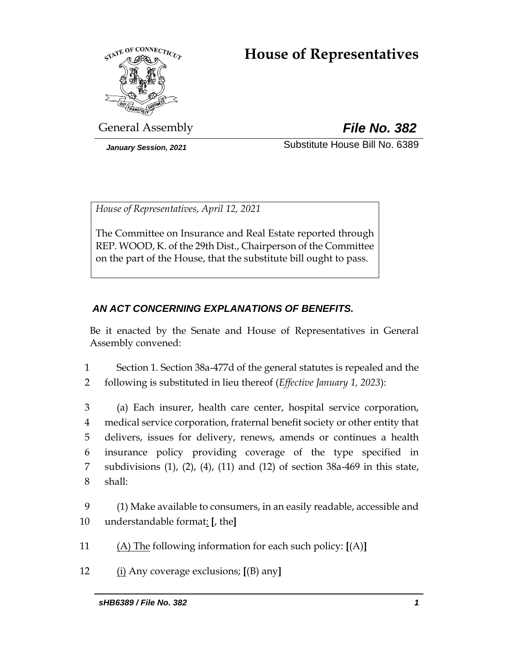# **House of Representatives**



General Assembly *File No. 382*

*January Session, 2021* Substitute House Bill No. 6389

*House of Representatives, April 12, 2021*

The Committee on Insurance and Real Estate reported through REP. WOOD, K. of the 29th Dist., Chairperson of the Committee on the part of the House, that the substitute bill ought to pass.

# *AN ACT CONCERNING EXPLANATIONS OF BENEFITS.*

Be it enacted by the Senate and House of Representatives in General Assembly convened:

- 1 Section 1. Section 38a-477d of the general statutes is repealed and the
- 2 following is substituted in lieu thereof (*Effective January 1, 2023*):

 (a) Each insurer, health care center, hospital service corporation, medical service corporation, fraternal benefit society or other entity that delivers, issues for delivery, renews, amends or continues a health insurance policy providing coverage of the type specified in subdivisions (1), (2), (4), (11) and (12) of section 38a-469 in this state, 8 shall:

9 (1) Make available to consumers, in an easily readable, accessible and 10 understandable format: **[**, the**]**

- 11 (A) The following information for each such policy: **[**(A)**]**
- 12 (i) Any coverage exclusions; **[**(B) any**]**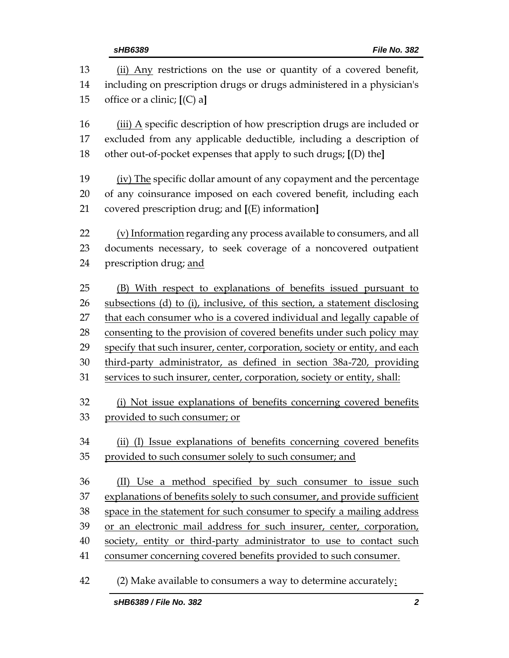| 13 | (ii) Any restrictions on the use or quantity of a covered benefit,          |  |
|----|-----------------------------------------------------------------------------|--|
| 14 | including on prescription drugs or drugs administered in a physician's      |  |
| 15 | office or a clinic; $[(C) a]$                                               |  |
| 16 | (iii) A specific description of how prescription drugs are included or      |  |
| 17 | excluded from any applicable deductible, including a description of         |  |
| 18 | other out-of-pocket expenses that apply to such drugs; [(D) the]            |  |
| 19 | (iv) The specific dollar amount of any copayment and the percentage         |  |
| 20 | of any coinsurance imposed on each covered benefit, including each          |  |
| 21 | covered prescription drug; and [(E) information]                            |  |
| 22 | (v) Information regarding any process available to consumers, and all       |  |
| 23 | documents necessary, to seek coverage of a noncovered outpatient            |  |
| 24 | prescription drug; and                                                      |  |
| 25 | (B) With respect to explanations of benefits issued pursuant to             |  |
| 26 | subsections (d) to (i), inclusive, of this section, a statement disclosing  |  |
| 27 | that each consumer who is a covered individual and legally capable of       |  |
| 28 | consenting to the provision of covered benefits under such policy may       |  |
| 29 | specify that such insurer, center, corporation, society or entity, and each |  |
| 30 | third-party administrator, as defined in section 38a-720, providing         |  |
| 31 | services to such insurer, center, corporation, society or entity, shall:    |  |
| 32 | (i) Not issue explanations of benefits concerning covered benefits          |  |
| 33 | provided to such consumer; or                                               |  |
| 34 | (ii) (I) Issue explanations of benefits concerning covered benefits         |  |
| 35 | provided to such consumer solely to such consumer; and                      |  |
| 36 | (II) Use a method specified by such consumer to issue such                  |  |
| 37 | explanations of benefits solely to such consumer, and provide sufficient    |  |
| 38 | space in the statement for such consumer to specify a mailing address       |  |
| 39 | or an electronic mail address for such insurer, center, corporation,        |  |
| 40 | society, entity or third-party administrator to use to contact such         |  |
| 41 | consumer concerning covered benefits provided to such consumer.             |  |

(2) Make available to consumers a way to determine accurately: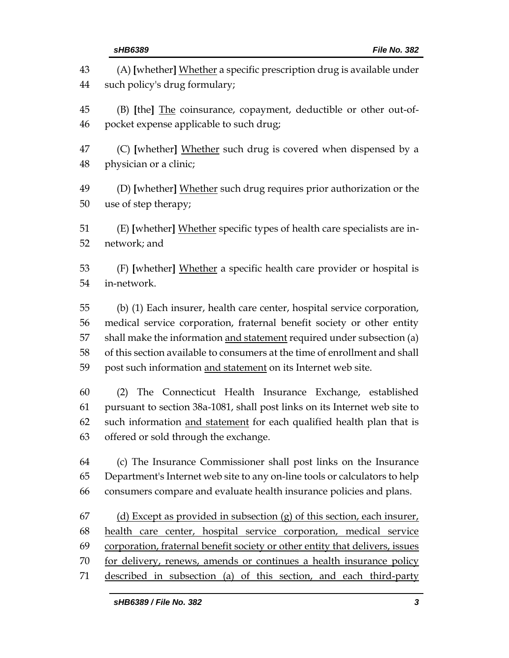| 43                   | (A) [whether] Whether a specific prescription drug is available under                                                                                                                                                                                         |
|----------------------|---------------------------------------------------------------------------------------------------------------------------------------------------------------------------------------------------------------------------------------------------------------|
| 44                   | such policy's drug formulary;                                                                                                                                                                                                                                 |
| 45                   | (B) [the] The coinsurance, copayment, deductible or other out-of-                                                                                                                                                                                             |
| 46                   | pocket expense applicable to such drug;                                                                                                                                                                                                                       |
| 47                   | (C) [whether] Whether such drug is covered when dispensed by a                                                                                                                                                                                                |
| 48                   | physician or a clinic;                                                                                                                                                                                                                                        |
| 49                   | (D) [whether] Whether such drug requires prior authorization or the                                                                                                                                                                                           |
| 50                   | use of step therapy;                                                                                                                                                                                                                                          |
| 51                   | (E) [whether] Whether specific types of health care specialists are in-                                                                                                                                                                                       |
| 52                   | network; and                                                                                                                                                                                                                                                  |
| 53                   | (F) [whether] Whether a specific health care provider or hospital is                                                                                                                                                                                          |
| 54                   | in-network.                                                                                                                                                                                                                                                   |
| 55                   | (b) (1) Each insurer, health care center, hospital service corporation,                                                                                                                                                                                       |
| 56                   | medical service corporation, fraternal benefit society or other entity                                                                                                                                                                                        |
| 57                   | shall make the information and statement required under subsection (a)                                                                                                                                                                                        |
| 58                   | of this section available to consumers at the time of enrollment and shall                                                                                                                                                                                    |
| 59                   | post such information and statement on its Internet web site.                                                                                                                                                                                                 |
| 60<br>61<br>62<br>63 | The Connecticut Health Insurance Exchange, established<br>(2)<br>pursuant to section 38a-1081, shall post links on its Internet web site to<br>such information and statement for each qualified health plan that is<br>offered or sold through the exchange. |
| 64                   | (c) The Insurance Commissioner shall post links on the Insurance                                                                                                                                                                                              |
| 65                   | Department's Internet web site to any on-line tools or calculators to help                                                                                                                                                                                    |
| 66                   | consumers compare and evaluate health insurance policies and plans.                                                                                                                                                                                           |
| 67                   | (d) Except as provided in subsection (g) of this section, each insurer,                                                                                                                                                                                       |
| 68                   | health care center, hospital service corporation, medical service                                                                                                                                                                                             |
| 69                   | corporation, fraternal benefit society or other entity that delivers, issues                                                                                                                                                                                  |
| 70                   | for delivery, renews, amends or continues a health insurance policy                                                                                                                                                                                           |
| 71                   | described in subsection (a) of this section, and each third-party                                                                                                                                                                                             |
|                      |                                                                                                                                                                                                                                                               |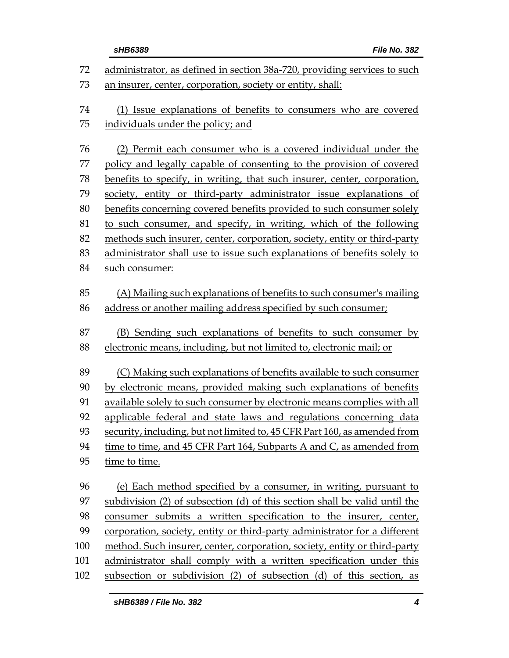|     | sHB6389<br>File No. 382                                                    |  |
|-----|----------------------------------------------------------------------------|--|
| 72  | administrator, as defined in section 38a-720, providing services to such   |  |
| 73  | an insurer, center, corporation, society or entity, shall:                 |  |
| 74  | (1) Issue explanations of benefits to consumers who are covered            |  |
| 75  | individuals under the policy; and                                          |  |
| 76  | (2) Permit each consumer who is a covered individual under the             |  |
| 77  | policy and legally capable of consenting to the provision of covered       |  |
| 78  | benefits to specify, in writing, that such insurer, center, corporation,   |  |
| 79  | society, entity or third-party administrator issue explanations of         |  |
| 80  | benefits concerning covered benefits provided to such consumer solely      |  |
| 81  | to such consumer, and specify, in writing, which of the following          |  |
| 82  | methods such insurer, center, corporation, society, entity or third-party  |  |
| 83  | administrator shall use to issue such explanations of benefits solely to   |  |
| 84  | such consumer:                                                             |  |
|     |                                                                            |  |
| 85  | (A) Mailing such explanations of benefits to such consumer's mailing       |  |
| 86  | address or another mailing address specified by such consumer;             |  |
| 87  | (B) Sending such explanations of benefits to such consumer by              |  |
| 88  | electronic means, including, but not limited to, electronic mail; or       |  |
| 89  | (C) Making such explanations of benefits available to such consumer        |  |
| 90  | by electronic means, provided making such explanations of benefits         |  |
| 91  | available solely to such consumer by electronic means complies with all    |  |
| 92  | applicable federal and state laws and regulations concerning data          |  |
| 93  | security, including, but not limited to, 45 CFR Part 160, as amended from  |  |
| 94  | time to time, and 45 CFR Part 164, Subparts A and C, as amended from       |  |
| 95  | time to time.                                                              |  |
| 96  | (e) Each method specified by a consumer, in writing, pursuant to           |  |
| 97  | subdivision (2) of subsection (d) of this section shall be valid until the |  |
| 98  | consumer submits a written specification to the insurer, center,           |  |
| 99  | corporation, society, entity or third-party administrator for a different  |  |
| 100 | method. Such insurer, center, corporation, society, entity or third-party  |  |
| 101 | administrator shall comply with a written specification under this         |  |
| 102 | subsection or subdivision (2) of subsection (d) of this section, as        |  |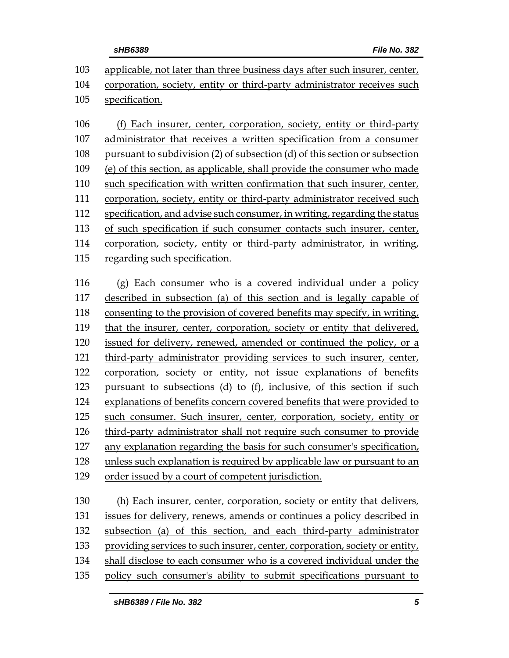|     | File No. 382<br>sHB6389                                                     |  |
|-----|-----------------------------------------------------------------------------|--|
| 103 | applicable, not later than three business days after such insurer, center,  |  |
| 104 | corporation, society, entity or third-party administrator receives such     |  |
| 105 | specification.                                                              |  |
| 106 | (f) Each insurer, center, corporation, society, entity or third-party       |  |
| 107 |                                                                             |  |
|     | administrator that receives a written specification from a consumer         |  |
|     | pursuant to subdivision (2) of subsection (d) of this section or subsection |  |
|     | (e) of this section, as applicable, shall provide the consumer who made     |  |
|     | such specification with written confirmation that such insurer, center,     |  |
|     | corporation, society, entity or third-party administrator received such     |  |
|     | specification, and advise such consumer, in writing, regarding the status   |  |
|     | of such specification if such consumer contacts such insurer, center,       |  |
|     | corporation, society, entity or third-party administrator, in writing,      |  |
|     | regarding such specification.                                               |  |
|     | (g) Each consumer who is a covered individual under a policy                |  |
|     | described in subsection (a) of this section and is legally capable of       |  |
|     | consenting to the provision of covered benefits may specify, in writing,    |  |
|     | that the insurer, center, corporation, society or entity that delivered,    |  |
|     | issued for delivery, renewed, amended or continued the policy, or a         |  |
|     | third-party administrator providing services to such insurer, center,       |  |
|     | corporation, society or entity, not issue explanations of benefits          |  |
|     | pursuant to subsections (d) to (f), inclusive, of this section if such      |  |
|     | explanations of benefits concern covered benefits that were provided to     |  |
|     | such consumer. Such insurer, center, corporation, society, entity or        |  |
|     | third-party administrator shall not require such consumer to provide        |  |
|     | any explanation regarding the basis for such consumer's specification,      |  |
|     | unless such explanation is required by applicable law or pursuant to an     |  |
|     | order issued by a court of competent jurisdiction.                          |  |
|     |                                                                             |  |
|     | (h) Each insurer, center, corporation, society or entity that delivers,     |  |
|     | issues for delivery, renews, amends or continues a policy described in      |  |
|     | subsection (a) of this section, and each third-party administrator          |  |
|     | providing services to such insurer, center, corporation, society or entity, |  |
|     |                                                                             |  |

- 134 shall disclose to each consumer who is a covered individual under the
- policy such consumer's ability to submit specifications pursuant to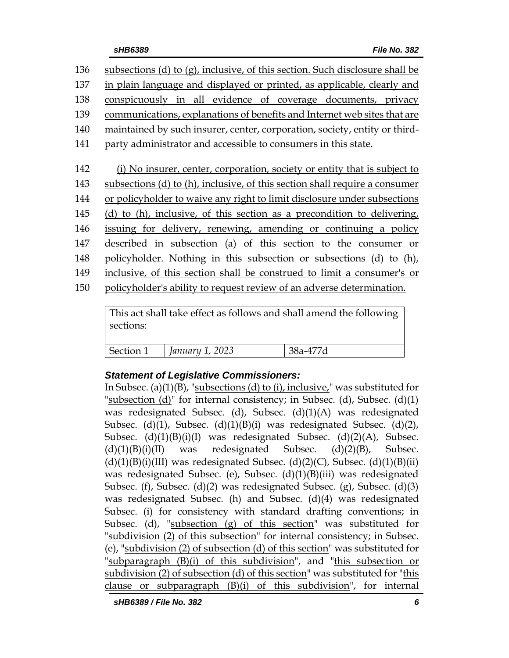| 136 | subsections (d) to $(g)$ , inclusive, of this section. Such disclosure shall be |
|-----|---------------------------------------------------------------------------------|
| 137 | in plain language and displayed or printed, as applicable, clearly and          |
| 138 | conspicuously in all evidence of coverage documents, privacy                    |
| 139 | communications, explanations of benefits and Internet web sites that are        |
| 140 | maintained by such insurer, center, corporation, society, entity or third-      |
| 141 | party administrator and accessible to consumers in this state.                  |
|     |                                                                                 |
| 142 | (i) No insurer, center, corporation, society or entity that is subject to       |
| 143 | subsections (d) to (h), inclusive, of this section shall require a consumer     |
| 144 | or policyholder to waive any right to limit disclosure under subsections        |
| 145 | (d) to (h), inclusive, of this section as a precondition to delivering,         |
| 146 | issuing for delivery, renewing, amending or continuing a policy                 |
| 147 | described in subsection (a) of this section to the consumer or                  |
| 148 | policyholder. Nothing in this subsection or subsections (d) to (h),             |
| 149 | inclusive, of this section shall be construed to limit a consumer's or          |
| 150 | policyholder's ability to request review of an adverse determination.           |
|     |                                                                                 |

This act shall take effect as follows and shall amend the following sections:

| Section 1 | January 1, 2023 |  |
|-----------|-----------------|--|

# *Statement of Legislative Commissioners:*

In Subsec. (a)(1)(B), "subsections (d) to (i), inclusive," was substituted for "subsection  $(d)$ " for internal consistency; in Subsec.  $(d)$ , Subsec.  $(d)(1)$ was redesignated Subsec. (d), Subsec. (d)(1)(A) was redesignated Subsec. (d)(1), Subsec. (d)(1)(B)(i) was redesignated Subsec. (d)(2), Subsec.  $(d)(1)(B)(i)(I)$  was redesignated Subsec.  $(d)(2)(A)$ , Subsec.  $(d)(1)(B)(i)(II)$  was redesignated Subsec.  $(d)(2)(B)$ , Subsec.  $(d)(1)(B)(i)(III)$  was redesignated Subsec.  $(d)(2)(C)$ , Subsec.  $(d)(1)(B)(ii)$ was redesignated Subsec. (e), Subsec. (d)(1)(B)(iii) was redesignated Subsec. (f), Subsec. (d)(2) was redesignated Subsec. (g), Subsec. (d)(3) was redesignated Subsec. (h) and Subsec. (d)(4) was redesignated Subsec. (i) for consistency with standard drafting conventions; in Subsec. (d), "subsection (g) of this section" was substituted for "subdivision (2) of this subsection" for internal consistency; in Subsec. (e), "subdivision (2) of subsection (d) of this section" was substituted for "subparagraph (B)(i) of this subdivision", and "this subsection or subdivision (2) of subsection (d) of this section" was substituted for "this clause or subparagraph (B)(i) of this subdivision", for internal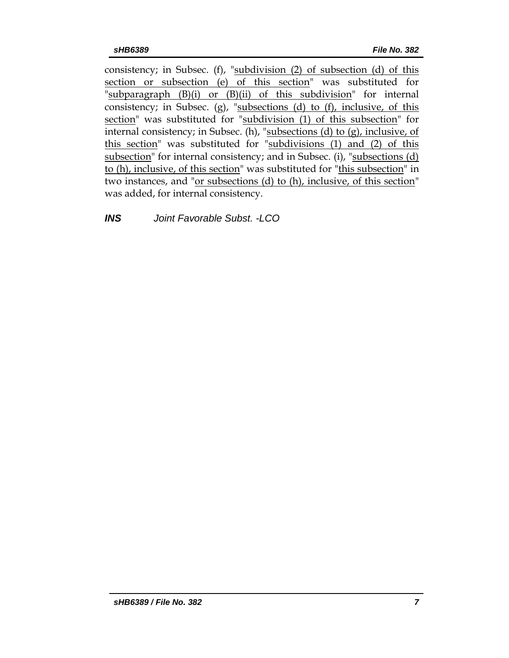consistency; in Subsec. (f), "subdivision (2) of subsection (d) of this section or subsection (e) of this section" was substituted for "subparagraph  $(B)(i)$  or  $(B)(ii)$  of this subdivision" for internal consistency; in Subsec. (g), "subsections (d) to (f), inclusive, of this section" was substituted for "subdivision (1) of this subsection" for internal consistency; in Subsec. (h), "subsections (d) to (g), inclusive, of this section" was substituted for "subdivisions (1) and (2) of this subsection" for internal consistency; and in Subsec. (i), "subsections (d) to (h), inclusive, of this section" was substituted for "this subsection" in two instances, and "or subsections (d) to (h), inclusive, of this section" was added, for internal consistency.

*INS Joint Favorable Subst. -LCO*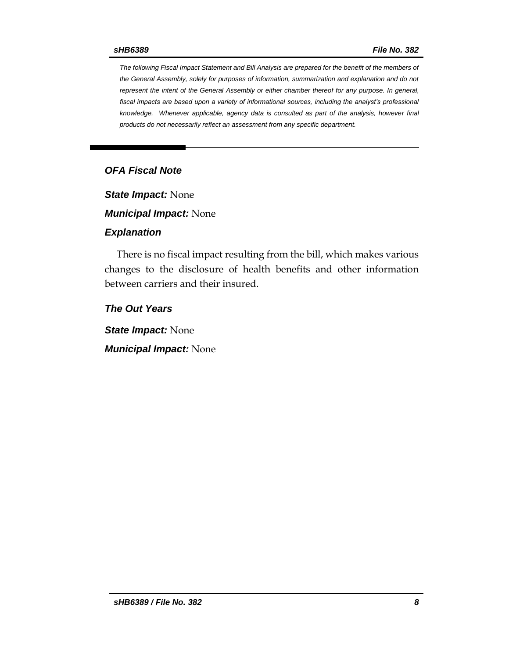*The following Fiscal Impact Statement and Bill Analysis are prepared for the benefit of the members of the General Assembly, solely for purposes of information, summarization and explanation and do not represent the intent of the General Assembly or either chamber thereof for any purpose. In general, fiscal impacts are based upon a variety of informational sources, including the analyst's professional knowledge. Whenever applicable, agency data is consulted as part of the analysis, however final products do not necessarily reflect an assessment from any specific department.*

# *OFA Fiscal Note*

*State Impact:* None

*Municipal Impact:* None

#### *Explanation*

There is no fiscal impact resulting from the bill, which makes various changes to the disclosure of health benefits and other information between carriers and their insured.

*The Out Years*

*State Impact:* None

*Municipal Impact:* None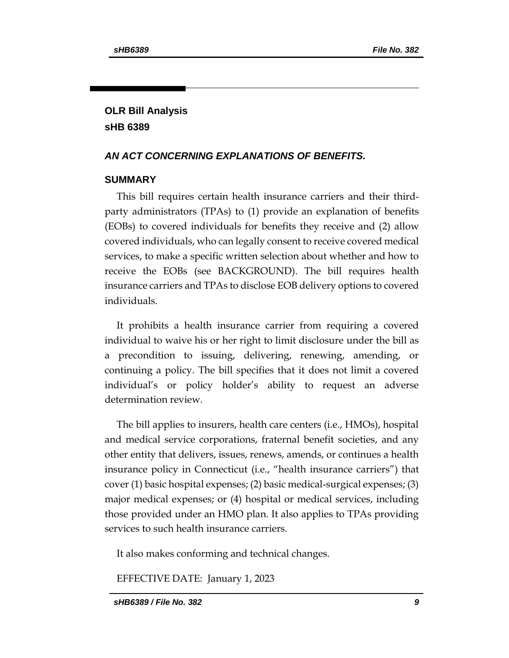# **OLR Bill Analysis sHB 6389**

# *AN ACT CONCERNING EXPLANATIONS OF BENEFITS.*

## **SUMMARY**

This bill requires certain health insurance carriers and their thirdparty administrators (TPAs) to (1) provide an explanation of benefits (EOBs) to covered individuals for benefits they receive and (2) allow covered individuals, who can legally consent to receive covered medical services, to make a specific written selection about whether and how to receive the EOBs (see BACKGROUND). The bill requires health insurance carriers and TPAs to disclose EOB delivery options to covered individuals.

It prohibits a health insurance carrier from requiring a covered individual to waive his or her right to limit disclosure under the bill as a precondition to issuing, delivering, renewing, amending, or continuing a policy. The bill specifies that it does not limit a covered individual's or policy holder's ability to request an adverse determination review.

The bill applies to insurers, health care centers (i.e., HMOs), hospital and medical service corporations, fraternal benefit societies, and any other entity that delivers, issues, renews, amends, or continues a health insurance policy in Connecticut (i.e., "health insurance carriers") that cover (1) basic hospital expenses; (2) basic medical-surgical expenses; (3) major medical expenses; or (4) hospital or medical services, including those provided under an HMO plan. It also applies to TPAs providing services to such health insurance carriers.

It also makes conforming and technical changes.

EFFECTIVE DATE: January 1, 2023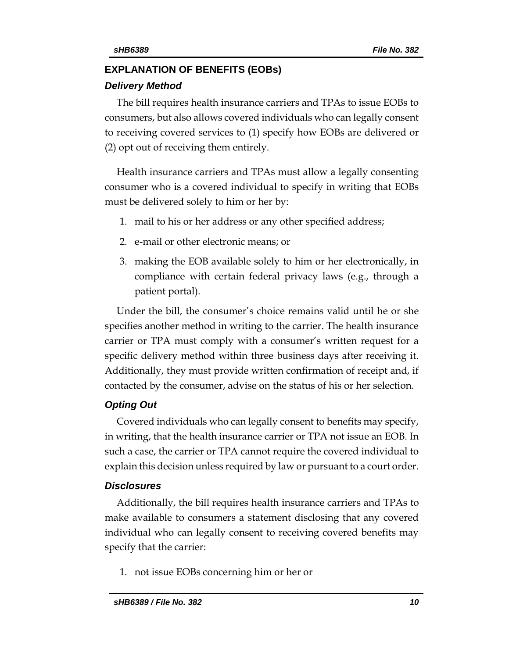## **EXPLANATION OF BENEFITS (EOBs)**

#### *Delivery Method*

The bill requires health insurance carriers and TPAs to issue EOBs to consumers, but also allows covered individuals who can legally consent to receiving covered services to (1) specify how EOBs are delivered or (2) opt out of receiving them entirely.

Health insurance carriers and TPAs must allow a legally consenting consumer who is a covered individual to specify in writing that EOBs must be delivered solely to him or her by:

- 1. mail to his or her address or any other specified address;
- 2. e-mail or other electronic means; or
- 3. making the EOB available solely to him or her electronically, in compliance with certain federal privacy laws (e.g., through a patient portal).

Under the bill, the consumer's choice remains valid until he or she specifies another method in writing to the carrier. The health insurance carrier or TPA must comply with a consumer's written request for a specific delivery method within three business days after receiving it. Additionally, they must provide written confirmation of receipt and, if contacted by the consumer, advise on the status of his or her selection.

### *Opting Out*

Covered individuals who can legally consent to benefits may specify, in writing, that the health insurance carrier or TPA not issue an EOB. In such a case, the carrier or TPA cannot require the covered individual to explain this decision unless required by law or pursuant to a court order.

### *Disclosures*

Additionally, the bill requires health insurance carriers and TPAs to make available to consumers a statement disclosing that any covered individual who can legally consent to receiving covered benefits may specify that the carrier:

1. not issue EOBs concerning him or her or